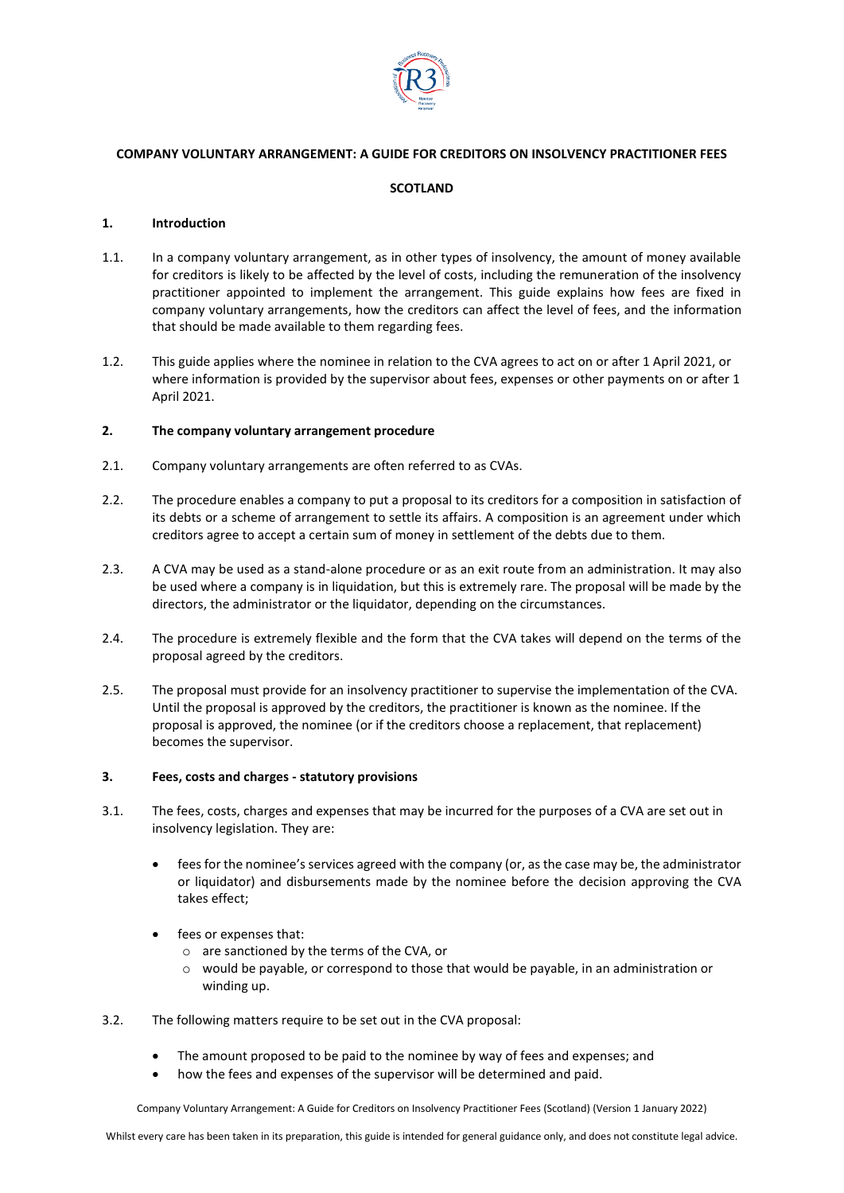

## **COMPANY VOLUNTARY ARRANGEMENT: A GUIDE FOR CREDITORS ON INSOLVENCY PRACTITIONER FEES**

# **SCOTLAND**

### **1. Introduction**

- 1.1. In a company voluntary arrangement, as in other types of insolvency, the amount of money available for creditors is likely to be affected by the level of costs, including the remuneration of the insolvency practitioner appointed to implement the arrangement. This guide explains how fees are fixed in company voluntary arrangements, how the creditors can affect the level of fees, and the information that should be made available to them regarding fees.
- 1.2. This guide applies where the nominee in relation to the CVA agrees to act on or after 1 April 2021, or where information is provided by the supervisor about fees, expenses or other payments on or after 1 April 2021.

### **2. The company voluntary arrangement procedure**

- 2.1. Company voluntary arrangements are often referred to as CVAs.
- 2.2. The procedure enables a company to put a proposal to its creditors for a composition in satisfaction of its debts or a scheme of arrangement to settle its affairs. A composition is an agreement under which creditors agree to accept a certain sum of money in settlement of the debts due to them.
- 2.3. A CVA may be used as a stand-alone procedure or as an exit route from an administration. It may also be used where a company is in liquidation, but this is extremely rare. The proposal will be made by the directors, the administrator or the liquidator, depending on the circumstances.
- 2.4. The procedure is extremely flexible and the form that the CVA takes will depend on the terms of the proposal agreed by the creditors.
- 2.5. The proposal must provide for an insolvency practitioner to supervise the implementation of the CVA. Until the proposal is approved by the creditors, the practitioner is known as the nominee. If the proposal is approved, the nominee (or if the creditors choose a replacement, that replacement) becomes the supervisor.

#### **3. Fees, costs and charges - statutory provisions**

- 3.1. The fees, costs, charges and expenses that may be incurred for the purposes of a CVA are set out in insolvency legislation. They are:
	- fees for the nominee's services agreed with the company (or, as the case may be, the administrator or liquidator) and disbursements made by the nominee before the decision approving the CVA takes effect;
	- fees or expenses that:
		- o are sanctioned by the terms of the CVA, or
		- o would be payable, or correspond to those that would be payable, in an administration or winding up.
- 3.2. The following matters require to be set out in the CVA proposal:
	- The amount proposed to be paid to the nominee by way of fees and expenses; and
	- how the fees and expenses of the supervisor will be determined and paid.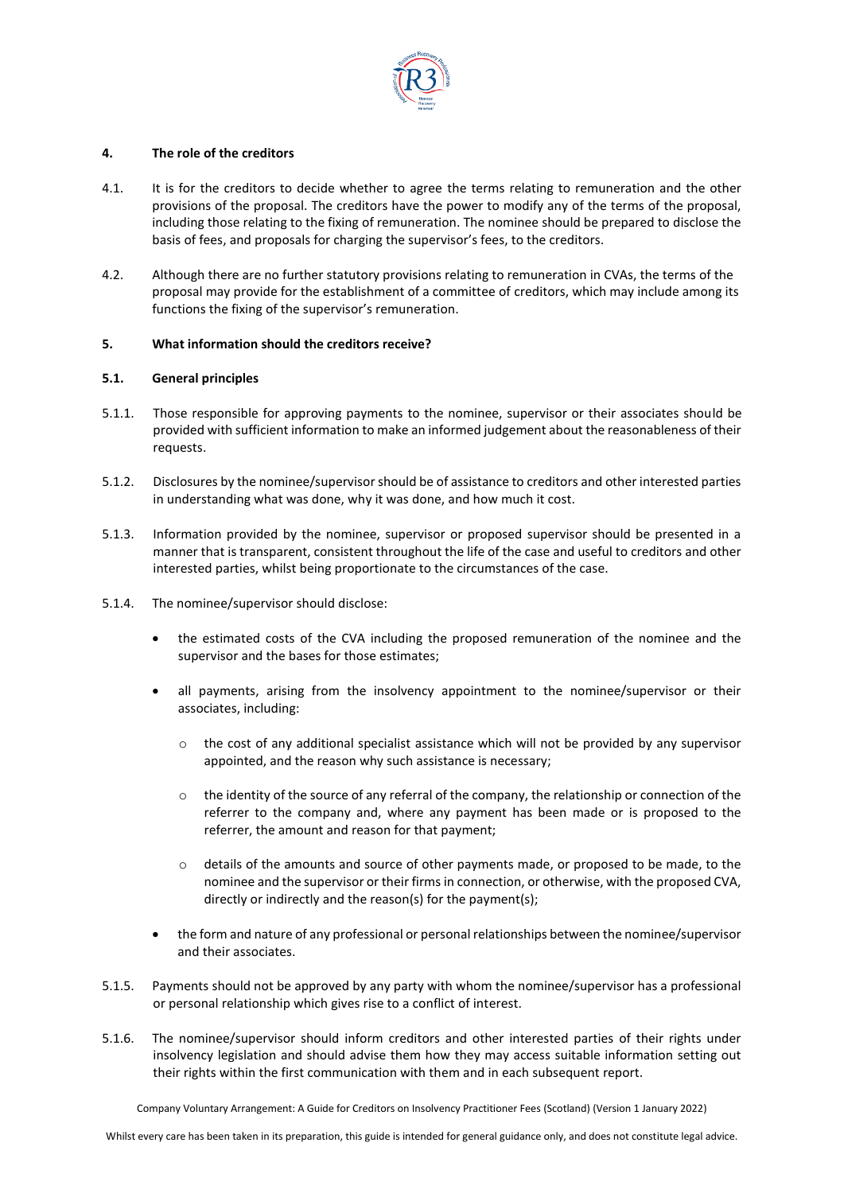

## **4. The role of the creditors**

- 4.1. It is for the creditors to decide whether to agree the terms relating to remuneration and the other provisions of the proposal. The creditors have the power to modify any of the terms of the proposal, including those relating to the fixing of remuneration. The nominee should be prepared to disclose the basis of fees, and proposals for charging the supervisor's fees, to the creditors.
- 4.2. Although there are no further statutory provisions relating to remuneration in CVAs, the terms of the proposal may provide for the establishment of a committee of creditors, which may include among its functions the fixing of the supervisor's remuneration.

### **5. What information should the creditors receive?**

## **5.1. General principles**

- 5.1.1. Those responsible for approving payments to the nominee, supervisor or their associates should be provided with sufficient information to make an informed judgement about the reasonableness of their requests.
- 5.1.2. Disclosures by the nominee/supervisor should be of assistance to creditors and other interested parties in understanding what was done, why it was done, and how much it cost.
- 5.1.3. Information provided by the nominee, supervisor or proposed supervisor should be presented in a manner that is transparent, consistent throughout the life of the case and useful to creditors and other interested parties, whilst being proportionate to the circumstances of the case.
- 5.1.4. The nominee/supervisor should disclose:
	- the estimated costs of the CVA including the proposed remuneration of the nominee and the supervisor and the bases for those estimates;
	- all payments, arising from the insolvency appointment to the nominee/supervisor or their associates, including:
		- $\circ$  the cost of any additional specialist assistance which will not be provided by any supervisor appointed, and the reason why such assistance is necessary;
		- o the identity of the source of any referral of the company, the relationship or connection of the referrer to the company and, where any payment has been made or is proposed to the referrer, the amount and reason for that payment;
		- o details of the amounts and source of other payments made, or proposed to be made, to the nominee and the supervisor or their firms in connection, or otherwise, with the proposed CVA, directly or indirectly and the reason(s) for the payment(s);
	- the form and nature of any professional or personal relationships between the nominee/supervisor and their associates.
- 5.1.5. Payments should not be approved by any party with whom the nominee/supervisor has a professional or personal relationship which gives rise to a conflict of interest.
- 5.1.6. The nominee/supervisor should inform creditors and other interested parties of their rights under insolvency legislation and should advise them how they may access suitable information setting out their rights within the first communication with them and in each subsequent report.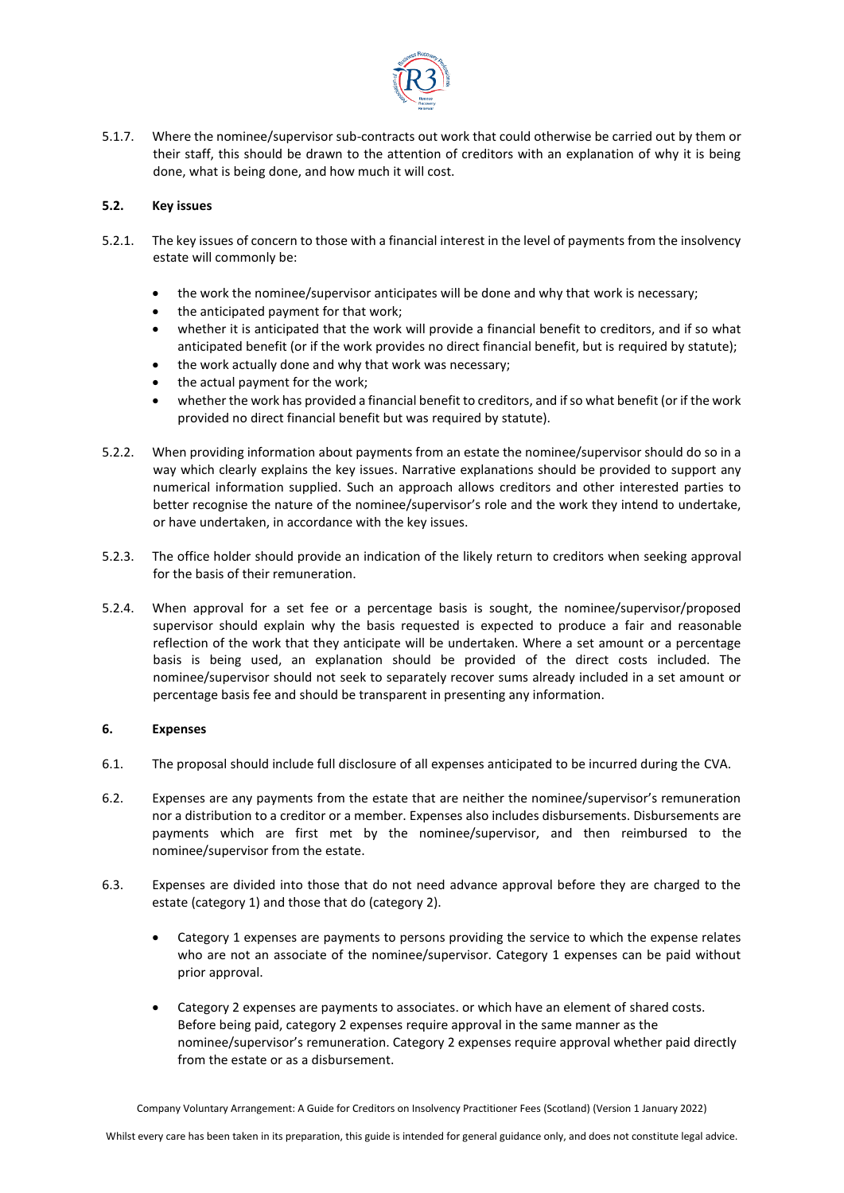

5.1.7. Where the nominee/supervisor sub-contracts out work that could otherwise be carried out by them or their staff, this should be drawn to the attention of creditors with an explanation of why it is being done, what is being done, and how much it will cost.

# **5.2. Key issues**

- 5.2.1. The key issues of concern to those with a financial interest in the level of payments from the insolvency estate will commonly be:
	- the work the nominee/supervisor anticipates will be done and why that work is necessary;
	- the anticipated payment for that work:
	- whether it is anticipated that the work will provide a financial benefit to creditors, and if so what anticipated benefit (or if the work provides no direct financial benefit, but is required by statute);
	- the work actually done and why that work was necessary;
	- the actual payment for the work;
	- whether the work has provided a financial benefit to creditors, and if so what benefit (or if the work provided no direct financial benefit but was required by statute).
- 5.2.2. When providing information about payments from an estate the nominee/supervisor should do so in a way which clearly explains the key issues. Narrative explanations should be provided to support any numerical information supplied. Such an approach allows creditors and other interested parties to better recognise the nature of the nominee/supervisor's role and the work they intend to undertake, or have undertaken, in accordance with the key issues.
- 5.2.3. The office holder should provide an indication of the likely return to creditors when seeking approval for the basis of their remuneration.
- 5.2.4. When approval for a set fee or a percentage basis is sought, the nominee/supervisor/proposed supervisor should explain why the basis requested is expected to produce a fair and reasonable reflection of the work that they anticipate will be undertaken. Where a set amount or a percentage basis is being used, an explanation should be provided of the direct costs included. The nominee/supervisor should not seek to separately recover sums already included in a set amount or percentage basis fee and should be transparent in presenting any information.

# **6. Expenses**

- 6.1. The proposal should include full disclosure of all expenses anticipated to be incurred during the CVA.
- 6.2. Expenses are any payments from the estate that are neither the nominee/supervisor's remuneration nor a distribution to a creditor or a member. Expenses also includes disbursements. Disbursements are payments which are first met by the nominee/supervisor, and then reimbursed to the nominee/supervisor from the estate.
- 6.3. Expenses are divided into those that do not need advance approval before they are charged to the estate (category 1) and those that do (category 2).
	- Category 1 expenses are payments to persons providing the service to which the expense relates who are not an associate of the nominee/supervisor. Category 1 expenses can be paid without prior approval.
	- Category 2 expenses are payments to associates. or which have an element of shared costs. Before being paid, category 2 expenses require approval in the same manner as the nominee/supervisor's remuneration. Category 2 expenses require approval whether paid directly from the estate or as a disbursement.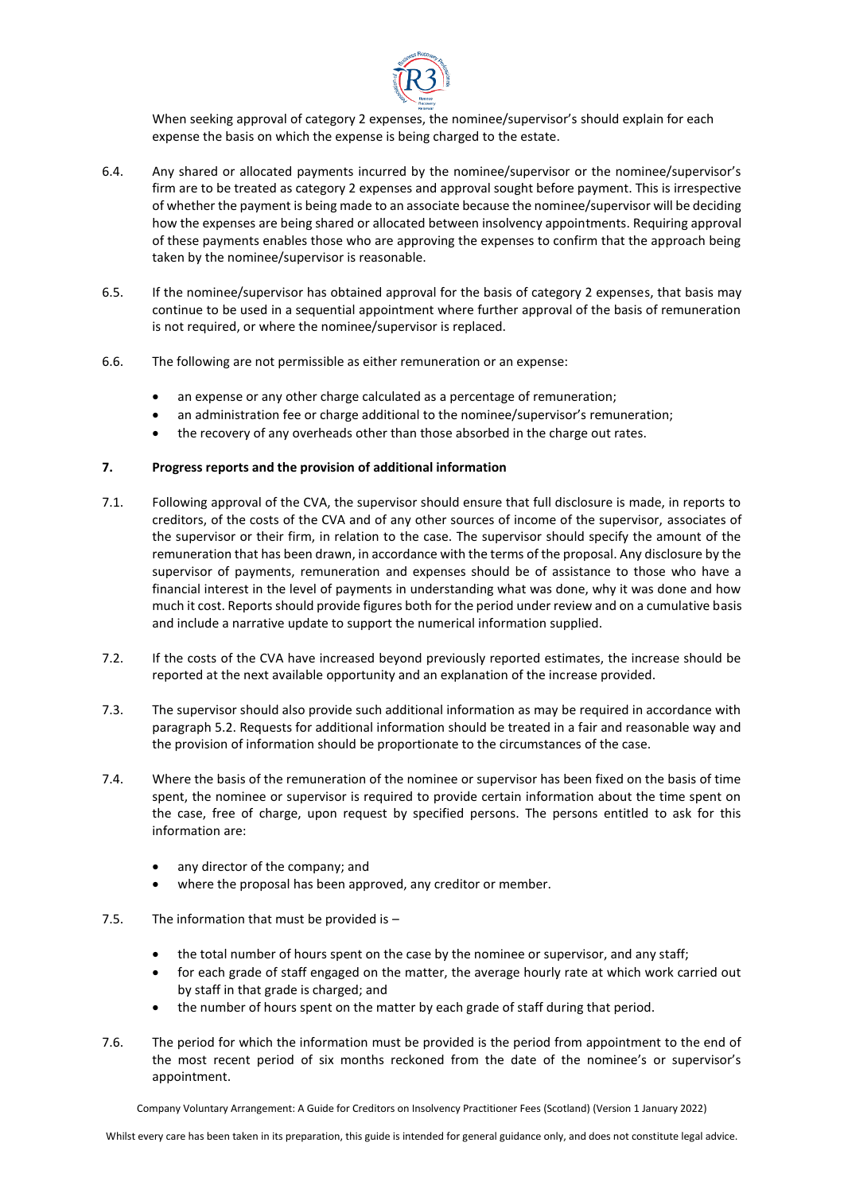

When seeking approval of category 2 expenses, the nominee/supervisor's should explain for each expense the basis on which the expense is being charged to the estate.

- 6.4. Any shared or allocated payments incurred by the nominee/supervisor or the nominee/supervisor's firm are to be treated as category 2 expenses and approval sought before payment. This is irrespective of whether the payment is being made to an associate because the nominee/supervisor will be deciding how the expenses are being shared or allocated between insolvency appointments. Requiring approval of these payments enables those who are approving the expenses to confirm that the approach being taken by the nominee/supervisor is reasonable.
- 6.5. If the nominee/supervisor has obtained approval for the basis of category 2 expenses, that basis may continue to be used in a sequential appointment where further approval of the basis of remuneration is not required, or where the nominee/supervisor is replaced.
- 6.6. The following are not permissible as either remuneration or an expense:
	- an expense or any other charge calculated as a percentage of remuneration;
	- an administration fee or charge additional to the nominee/supervisor's remuneration;
	- the recovery of any overheads other than those absorbed in the charge out rates.

## **7. Progress reports and the provision of additional information**

- 7.1. Following approval of the CVA, the supervisor should ensure that full disclosure is made, in reports to creditors, of the costs of the CVA and of any other sources of income of the supervisor, associates of the supervisor or their firm, in relation to the case. The supervisor should specify the amount of the remuneration that has been drawn, in accordance with the terms of the proposal. Any disclosure by the supervisor of payments, remuneration and expenses should be of assistance to those who have a financial interest in the level of payments in understanding what was done, why it was done and how much it cost. Reports should provide figures both for the period under review and on a cumulative basis and include a narrative update to support the numerical information supplied.
- 7.2. If the costs of the CVA have increased beyond previously reported estimates, the increase should be reported at the next available opportunity and an explanation of the increase provided.
- 7.3. The supervisor should also provide such additional information as may be required in accordance with paragraph 5.2. Requests for additional information should be treated in a fair and reasonable way and the provision of information should be proportionate to the circumstances of the case.
- 7.4. Where the basis of the remuneration of the nominee or supervisor has been fixed on the basis of time spent, the nominee or supervisor is required to provide certain information about the time spent on the case, free of charge, upon request by specified persons. The persons entitled to ask for this information are:
	- any director of the company; and
	- where the proposal has been approved, any creditor or member.
- 7.5. The information that must be provided is
	- the total number of hours spent on the case by the nominee or supervisor, and any staff;
	- for each grade of staff engaged on the matter, the average hourly rate at which work carried out by staff in that grade is charged; and
	- the number of hours spent on the matter by each grade of staff during that period.
- 7.6. The period for which the information must be provided is the period from appointment to the end of the most recent period of six months reckoned from the date of the nominee's or supervisor's appointment.